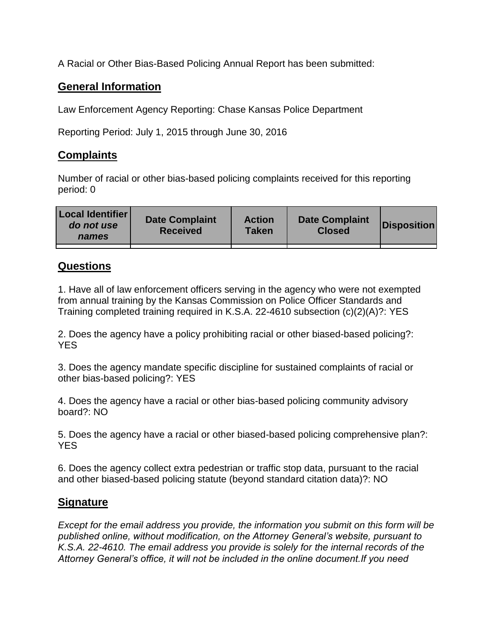A Racial or Other Bias-Based Policing Annual Report has been submitted:

## **General Information**

Law Enforcement Agency Reporting: Chase Kansas Police Department

Reporting Period: July 1, 2015 through June 30, 2016

## **Complaints**

Number of racial or other bias-based policing complaints received for this reporting period: 0

| <b>Local Identifier</b><br>do not use<br>names | <b>Date Complaint</b><br><b>Received</b> | <b>Action</b><br><b>Taken</b> | <b>Date Complaint</b><br><b>Closed</b> | Disposition |
|------------------------------------------------|------------------------------------------|-------------------------------|----------------------------------------|-------------|
|                                                |                                          |                               |                                        |             |

## **Questions**

1. Have all of law enforcement officers serving in the agency who were not exempted from annual training by the Kansas Commission on Police Officer Standards and Training completed training required in K.S.A. 22-4610 subsection (c)(2)(A)?: YES

2. Does the agency have a policy prohibiting racial or other biased-based policing?: YES

3. Does the agency mandate specific discipline for sustained complaints of racial or other bias-based policing?: YES

4. Does the agency have a racial or other bias-based policing community advisory board?: NO

5. Does the agency have a racial or other biased-based policing comprehensive plan?: YES

6. Does the agency collect extra pedestrian or traffic stop data, pursuant to the racial and other biased-based policing statute (beyond standard citation data)?: NO

## **Signature**

*Except for the email address you provide, the information you submit on this form will be published online, without modification, on the Attorney General's website, pursuant to K.S.A. 22-4610. The email address you provide is solely for the internal records of the Attorney General's office, it will not be included in the online document.If you need*